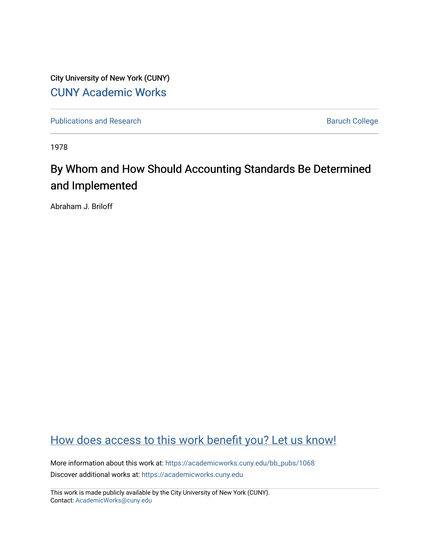City University of New York (CUNY) [CUNY Academic Works](https://academicworks.cuny.edu/) 

[Publications and Research](https://academicworks.cuny.edu/bb_pubs) **Baruch College** Baruch College

1978

# By Whom and How Should Accounting Standards Be Determined and Implemented

Abraham J. Briloff

# [How does access to this work benefit you? Let us know!](http://ols.cuny.edu/academicworks/?ref=https://academicworks.cuny.edu/bb_pubs/1068)

More information about this work at: [https://academicworks.cuny.edu/bb\\_pubs/1068](https://academicworks.cuny.edu/bb_pubs/1068) Discover additional works at: [https://academicworks.cuny.edu](https://academicworks.cuny.edu/?)

This work is made publicly available by the City University of New York (CUNY). Contact: [AcademicWorks@cuny.edu](mailto:AcademicWorks@cuny.edu)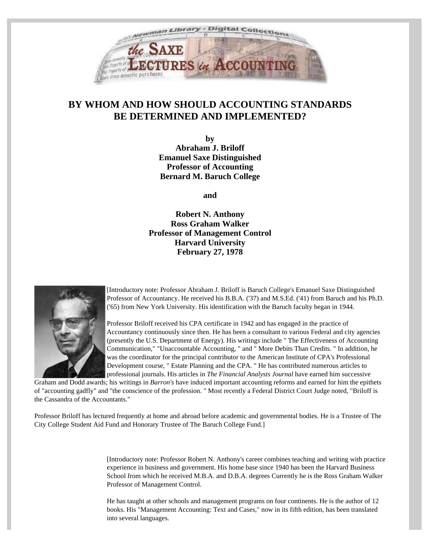

## **BY WHOM AND HOW SHOULD ACCOUNTING STANDARDS BE DETERMINED AND IMPLEMENTED?**

**by Abraham J. Briloff Emanuel Saxe Distinguished Professor of Accounting Bernard M. Baruch College**

**and**

**Robert N. Anthony Ross Graham Walker Professor of Management Control Harvard University February 27, 1978**



[Introductory note: Professor Abraham J. Briloff is Baruch College's Emanuel Saxe Distinguished Professor of Accountancy. He received his B.B.A. ('37) and M.S.Ed. ('41) from Baruch and his Ph.D. ('65) from New York University. His identification with the Baruch faculty began in 1944.

Professor Briloff received his CPA certificate in 1942 and has engaged in the practice of Accountancy continuously since then. He has been a consultant to various Federal and city agencies (presently the U.S. Department of Energy). His writings include " The Effectiveness of Accounting Communication," "Unaccountable Accounting, " and " More Debits Than Credits. " In addition, he was the coordinator for the principal contributor to the American Institute of CPA's Professional Development course, " Estate Planning and the CPA. " He has contributed numerous articles to professional journals. His articles in *The Financial Analysts Journal* have earned him successive

Graham and Dodd awards; his writings in *Barron's* have induced important accounting reforms and earned for him the epithets of "accounting gadfly" and "the conscience of the profession. " Most recently a Federal District Court Judge noted, "Briloff is the Cassandra of the Accountants."

Professor Briloff has lectured frequently at home and abroad before academic and governmental bodies. He is a Trustee of The City College Student Aid Fund and Honorary Trustee of The Baruch College Fund.]

> [Introductory note: Professor Robert N. Anthony's career combines teaching and writing with practice experience in business and government. His home base since 1940 has been the Harvard Business School from which he received M.B.A. and D.B.A. degrees Currently he is the Ross Graham Walker Professor of Management Control.

He has taught at other schools and management programs on four continents. He is the author of 12 books. His "Management Accounting: Text and Cases," now in its fifth edition, has been translated into several languages.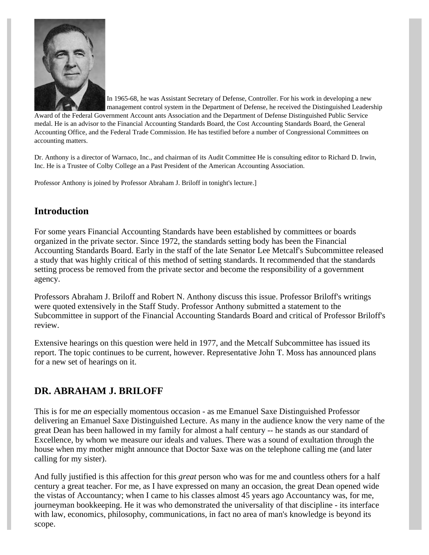

In 1965-68, he was Assistant Secretary of Defense, Controller. For his work in developing a new management control system in the Department of Defense, he received the Distinguished Leadership

Award of the Federal Government Account ants Association and the Department of Defense Distinguished Public Service medal. He is an advisor to the Financial Accounting Standards Board, the Cost Accounting Standards Board, the General Accounting Office, and the Federal Trade Commission. He has testified before a number of Congressional Committees on accounting matters.

Dr. Anthony is a director of Warnaco, Inc., and chairman of its Audit Committee He is consulting editor to Richard D. Irwin, Inc. He is a Trustee of Colby College an a Past President of the American Accounting Association.

Professor Anthony is joined by Professor Abraham J. Briloff in tonight's lecture.]

## **Introduction**

For some years Financial Accounting Standards have been established by committees or boards organized in the private sector. Since 1972, the standards setting body has been the Financial Accounting Standards Board. Early in the staff of the late Senator Lee Metcalf's Subcommittee released a study that was highly critical of this method of setting standards. It recommended that the standards setting process be removed from the private sector and become the responsibility of a government agency.

Professors Abraham J. Briloff and Robert N. Anthony discuss this issue. Professor Briloff's writings were quoted extensively in the Staff Study. Professor Anthony submitted a statement to the Subcommittee in support of the Financial Accounting Standards Board and critical of Professor Briloff's review.

Extensive hearings on this question were held in 1977, and the Metcalf Subcommittee has issued its report. The topic continues to be current, however. Representative John T. Moss has announced plans for a new set of hearings on it.

## **DR. ABRAHAM J. BRILOFF**

This is for me *an* especially momentous occasion - as me Emanuel Saxe Distinguished Professor delivering an Emanuel Saxe Distinguished Lecture. As many in the audience know the very name of the great Dean has been hallowed in my family for almost a half century -- he stands as our standard of Excellence, by whom we measure our ideals and values. There was a sound of exultation through the house when my mother might announce that Doctor Saxe was on the telephone calling me (and later calling for my sister).

And fully justified is this affection for this *great* person who was for me and countless others for a half century a great teacher. For me, as I have expressed on many an occasion, the great Dean opened wide the vistas of Accountancy; when I came to his classes almost 45 years ago Accountancy was, for me, journeyman bookkeeping. He it was who demonstrated the universality of that discipline - its interface with law, economics, philosophy, communications, in fact no area of man's knowledge is beyond its scope.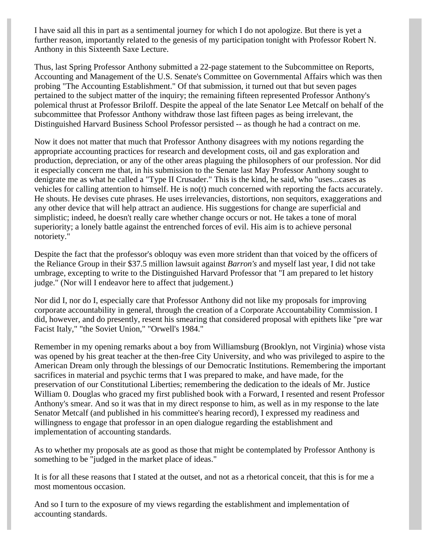I have said all this in part as a sentimental journey for which I do not apologize. But there is yet a further reason, importantly related to the genesis of my participation tonight with Professor Robert N. Anthony in this Sixteenth Saxe Lecture.

Thus, last Spring Professor Anthony submitted a 22-page statement to the Subcommittee on Reports, Accounting and Management of the U.S. Senate's Committee on Governmental Affairs which was then probing "The Accounting Establishment." Of that submission, it turned out that but seven pages pertained to the subject matter of the inquiry; the remaining fifteen represented Professor Anthony's polemical thrust at Professor Briloff. Despite the appeal of the late Senator Lee Metcalf on behalf of the subcommittee that Professor Anthony withdraw those last fifteen pages as being irrelevant, the Distinguished Harvard Business School Professor persisted -- as though he had a contract on me.

Now it does not matter that much that Professor Anthony disagrees with my notions regarding the appropriate accounting practices for research and development costs, oil and gas exploration and production, depreciation, or any of the other areas plaguing the philosophers of our profession. Nor did it especially concern me that, in his submission to the Senate last May Professor Anthony sought to denigrate me as what he called a "Type II Crusader." This is the kind, he said, who "uses...cases as vehicles for calling attention to himself. He is no(t) much concerned with reporting the facts accurately. He shouts. He devises cute phrases. He uses irrelevancies, distortions, non sequitors, exaggerations and any other device that will help attract an audience. His suggestions for change are superficial and simplistic; indeed, he doesn't really care whether change occurs or not. He takes a tone of moral superiority; a lonely battle against the entrenched forces of evil. His aim is to achieve personal notoriety."

Despite the fact that the professor's obloquy was even more strident than that voiced by the officers of the Reliance Group in their \$37.5 million lawsuit against *Barron's* and myself last year, I did not take umbrage, excepting to write to the Distinguished Harvard Professor that "I am prepared to let history judge." (Nor will I endeavor here to affect that judgement.)

Nor did I, nor do I, especially care that Professor Anthony did not like my proposals for improving corporate accountability in general, through the creation of a Corporate Accountability Commission. I did, however, and do presently, resent his smearing that considered proposal with epithets like "pre war Facist Italy," "the Soviet Union," "Orwell's 1984."

Remember in my opening remarks about a boy from Williamsburg (Brooklyn, not Virginia) whose vista was opened by his great teacher at the then-free City University, and who was privileged to aspire to the American Dream only through the blessings of our Democratic Institutions. Remembering the important sacrifices in material and psychic terms that I was prepared to make, and have made, for the preservation of our Constitutional Liberties; remembering the dedication to the ideals of Mr. Justice William 0. Douglas who graced my first published book with a Forward, I resented and resent Professor Anthony's smear. And so it was that in my direct response to him, as well as in my response to the late Senator Metcalf (and published in his committee's hearing record), I expressed my readiness and willingness to engage that professor in an open dialogue regarding the establishment and implementation of accounting standards.

As to whether my proposals ate as good as those that might be contemplated by Professor Anthony is something to be "judged in the market place of ideas."

It is for all these reasons that I stated at the outset, and not as a rhetorical conceit, that this is for me a most momentous occasion.

And so I turn to the exposure of my views regarding the establishment and implementation of accounting standards.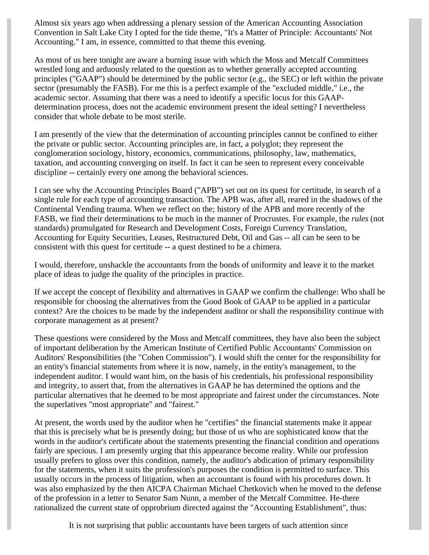Almost six years ago when addressing a plenary session of the American Accounting Association Convention in Salt Lake City I opted for the tide theme, "It's a Matter of Principle: Accountants' Not Accounting." I am, in essence, committed to that theme this evening.

As most of us here tonight are aware a burning issue with which the Moss and Metcalf Committees wrestled long and arduously related to the question as to whether generally accepted accounting principles ("GAAP") should be determined by the public sector (e.g., the SEC) or left within the private sector (presumably the FASB). For me this is a perfect example of the "excluded middle," i.e., the academic sector. Assuming that there was a need to identify a specific locus for this GAAPdetermination process, does not the academic environment present the ideal setting? I nevertheless consider that whole debate to be most sterile.

I am presently of the view that the determination of accounting principles cannot be confined to either the private or public sector. Accounting principles are, in fact, a polyglot; they represent the conglomeration sociology, history, economics, communications, philosophy, law, mathematics, taxation, and accounting converging on itself. In fact it can be seen to represent every conceivable discipline -- certainly every one among the behavioral sciences.

I can see why the Accounting Principles Board ("APB") set out on its quest for certitude, in search of a single rule for each type of accounting transaction. The APB was, after all, reared in the shadows of the Continental Vending trauma. When we reflect on the; history of the APB and more recently of the FASB, we find their determinations to be much in the manner of Procrustes. For example, the *rules* (not standards) promulgated for Research and Development Costs, Foreign Currency Translation, Accounting for Equity Securities, Leases, Restructured Debt, Oil and Gas -- all can be seen to be consistent with this quest for certitude -- a quest destined to be a chimera.

I would, therefore, unshackle the accountants from the bonds of uniformity and leave it to the market place of ideas to judge the quality of the principles in practice.

If we accept the concept of flexibility and alternatives in GAAP we confirm the challenge: Who shall be responsible for choosing the alternatives from the Good Book of GAAP to be applied in a particular context? Are the choices to be made by the independent auditor or shall the responsibility continue with corporate management as at present?

These questions were considered by the Moss and Metcalf committees, they have also been the subject of important deliberation by the American Institute of Certified Public Accountants' Commission on Auditors' Responsibilities (the "Cohen Commission"). I would shift the center for the responsibility for an entity's financial statements from where it is now, namely, in the entity's management, to the independent auditor. I would want him, on the basis of his credentials, his professional responsibility and integrity, to assert that, from the alternatives in GAAP he has determined the options and the particular alternatives that he deemed to be most appropriate and fairest under the circumstances. Note the superlatives "most appropriate" and "fairest."

At present, the words used by the auditor when he "certifies" the financial statements make it appear that this is precisely what he is presently doing; but those of us who are sophisticated know that the words in the auditor's certificate about the statements presenting the financial condition and operations fairly are specious. I am presently urging that this appearance become reality. While our profession usually prefers to gloss over this condition, namely, the auditor's abdication of primary responsibility for the statements, when it suits the profession's purposes the condition is permitted to surface. This usually occurs in the process of litigation, when an accountant is found with his procedures down. It was also emphasized by the then AICPA Chairman Michael Chetkovich when he moved to the defense of the profession in a letter to Senator Sam Nunn, a member of the Metcalf Committee. He-there rationalized the current state of opprobrium directed against the "Accounting Establishment", thus:

It is not surprising that public accountants have been targets of such attention since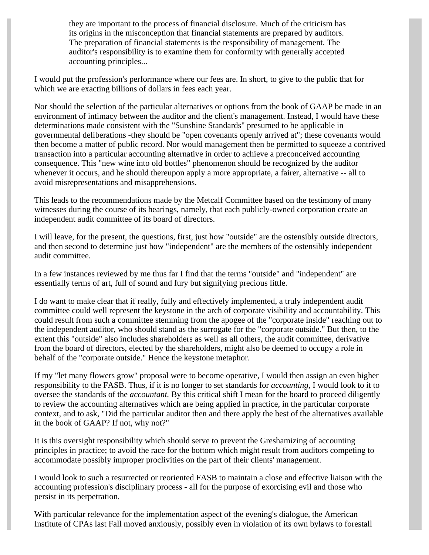they are important to the process of financial disclosure. Much of the criticism has its origins in the misconception that financial statements are prepared by auditors. The preparation of financial statements is the responsibility of management. The auditor's responsibility is to examine them for conformity with generally accepted accounting principles...

I would put the profession's performance where our fees are. In short, to give to the public that for which we are exacting billions of dollars in fees each year.

Nor should the selection of the particular alternatives or options from the book of GAAP be made in an environment of intimacy between the auditor and the client's management. Instead, I would have these determinations made consistent with the "Sunshine Standards" presumed to be applicable in governmental deliberations -they should be "open covenants openly arrived at"; these covenants would then become a matter of public record. Nor would management then be permitted to squeeze a contrived transaction into a particular accounting alternative in order to achieve a preconceived accounting consequence. This "new wine into old bottles" phenomenon should be recognized by the auditor whenever it occurs, and he should thereupon apply a more appropriate, a fairer, alternative -- all to avoid misrepresentations and misapprehensions.

This leads to the recommendations made by the Metcalf Committee based on the testimony of many witnesses during the course of its hearings, namely, that each publicly-owned corporation create an independent audit committee of its board of directors.

I will leave, for the present, the questions, first, just how "outside" are the ostensibly outside directors, and then second to determine just how "independent" are the members of the ostensibly independent audit committee.

In a few instances reviewed by me thus far I find that the terms "outside" and "independent" are essentially terms of art, full of sound and fury but signifying precious little.

I do want to make clear that if really, fully and effectively implemented, a truly independent audit committee could well represent the keystone in the arch of corporate visibility and accountability. This could result from such a committee stemming from the apogee of the "corporate inside" reaching out to the independent auditor, who should stand as the surrogate for the "corporate outside." But then, to the extent this "outside" also includes shareholders as well as all others, the audit committee, derivative from the board of directors, elected by the shareholders, might also be deemed to occupy a role in behalf of the "corporate outside." Hence the keystone metaphor.

If my "let many flowers grow" proposal were to become operative, I would then assign an even higher responsibility to the FASB. Thus, if it is no longer to set standards for *accounting,* I would look to it to oversee the standards of the *accountant.* By this critical shift I mean for the board to proceed diligently to review the accounting alternatives which are being applied in practice, in the particular corporate context, and to ask, "Did the particular auditor then and there apply the best of the alternatives available in the book of GAAP? If not, why not?"

It is this oversight responsibility which should serve to prevent the Greshamizing of accounting principles in practice; to avoid the race for the bottom which might result from auditors competing to accommodate possibly improper proclivities on the part of their clients' management.

I would look to such a resurrected or reoriented FASB to maintain a close and effective liaison with the accounting profession's disciplinary process - all for the purpose of exorcising evil and those who persist in its perpetration.

With particular relevance for the implementation aspect of the evening's dialogue, the American Institute of CPAs last Fall moved anxiously, possibly even in violation of its own bylaws to forestall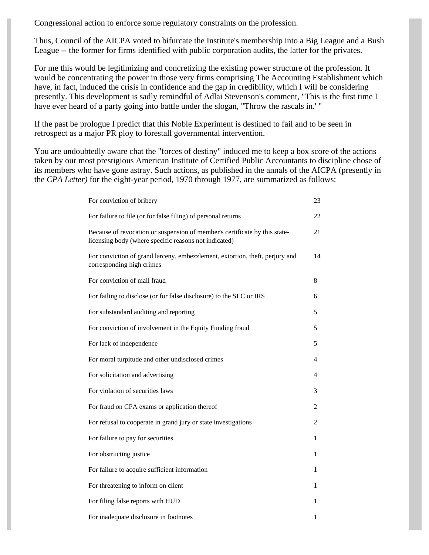Congressional action to enforce some regulatory constraints on the profession.

Thus, Council of the AICPA voted to bifurcate the Institute's membership into a Big League and a Bush League -- the former for firms identified with public corporation audits, the latter for the privates.

For me this would be legitimizing and concretizing the existing power structure of the profession. It would be concentrating the power in those very firms comprising The Accounting Establishment which have, in fact, induced the crisis in confidence and the gap in credibility, which I will be considering presently. This development is sadly remindful of Adlai Stevenson's comment, "This is the first time I have ever heard of a party going into battle under the slogan, "Throw the rascals in.' "

If the past be prologue I predict that this Noble Experiment is destined to fail and to be seen in retrospect as a major PR ploy to forestall governmental intervention.

You are undoubtedly aware chat the "forces of destiny" induced me to keep a box score of the actions taken by our most prestigious American Institute of Certified Public Accountants to discipline chose of its members who have gone astray. Such actions, as published in the annals of the AICPA (presently in the *CPA Letter)* for the eight-year period, 1970 through 1977, are summarized as follows:

| For conviction of bribery                                                                                                           | 23             |
|-------------------------------------------------------------------------------------------------------------------------------------|----------------|
| For failure to file (or for false filing) of personal returns                                                                       | 22             |
| Because of revocation or suspension of member's certificate by this state-<br>licensing body (where specific reasons not indicated) | 21             |
| For conviction of grand larceny, embezzlement, extortion, theft, perjury and<br>corresponding high crimes                           | 14             |
| For conviction of mail fraud                                                                                                        | 8              |
| For failing to disclose (or for false disclosure) to the SEC or IRS                                                                 | 6              |
| For substandard auditing and reporting                                                                                              | 5              |
| For conviction of involvement in the Equity Funding fraud                                                                           | 5              |
| For lack of independence                                                                                                            | 5              |
| For moral turpitude and other undisclosed crimes                                                                                    | 4              |
| For solicitation and advertising                                                                                                    | 4              |
| For violation of securities laws                                                                                                    | 3              |
| For fraud on CPA exams or application thereof                                                                                       | 2              |
| For refusal to cooperate in grand jury or state investigations                                                                      | $\overline{c}$ |
| For failure to pay for securities                                                                                                   | 1              |
| For obstructing justice                                                                                                             | 1              |
| For failure to acquire sufficient information                                                                                       | 1              |
| For threatening to inform on client                                                                                                 | 1              |
| For filing false reports with HUD                                                                                                   | 1              |
| For inadequate disclosure in footnotes                                                                                              | 1              |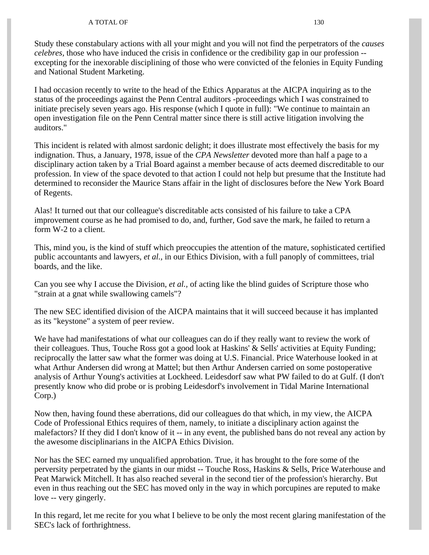#### A TOTAL OF 130

Study these constabulary actions with all your might and you will not find the perpetrators of the *causes celebres,* those who have induced the crisis in confidence or the credibility gap in our profession - excepting for the inexorable disciplining of those who were convicted of the felonies in Equity Funding and National Student Marketing.

I had occasion recently to write to the head of the Ethics Apparatus at the AICPA inquiring as to the status of the proceedings against the Penn Central auditors -proceedings which I was constrained to initiate precisely seven years ago. His response (which I quote in full): "We continue to maintain an open investigation file on the Penn Central matter since there is still active litigation involving the auditors."

This incident is related with almost sardonic delight; it does illustrate most effectively the basis for my indignation. Thus, a January, 1978, issue of the *CPA Newsletter* devoted more than half a page to a disciplinary action taken by a Trial Board against a member because of acts deemed discreditable to our profession. In view of the space devoted to that action I could not help but presume that the Institute had determined to reconsider the Maurice Stans affair in the light of disclosures before the New York Board of Regents.

Alas! It turned out that our colleague's discreditable acts consisted of his failure to take a CPA improvement course as he had promised to do, and, further, God save the mark, he failed to return a form W-2 to a client.

This, mind you, is the kind of stuff which preoccupies the attention of the mature, sophisticated certified public accountants and lawyers, *et al.,* in our Ethics Division, with a full panoply of committees, trial boards, and the like.

Can you see why I accuse the Division, *et al.,* of acting like the blind guides of Scripture those who "strain at a gnat while swallowing camels"?

The new SEC identified division of the AICPA maintains that it will succeed because it has implanted as its "keystone" a system of peer review.

We have had manifestations of what our colleagues can do if they really want to review the work of their colleagues. Thus, Touche Ross got a good look at Haskins' & Sells' activities at Equity Funding; reciprocally the latter saw what the former was doing at U.S. Financial. Price Waterhouse looked in at what Arthur Andersen did wrong at Mattel; but then Arthur Andersen carried on some postoperative analysis of Arthur Young's activities at Lockheed. Leidesdorf saw what PW failed to do at Gulf. (I don't presently know who did probe or is probing Leidesdorf's involvement in Tidal Marine International Corp.)

Now then, having found these aberrations, did our colleagues do that which, in my view, the AICPA Code of Professional Ethics requires of them, namely, to initiate a disciplinary action against the malefactors? If they did I don't know of it -- in any event, the published bans do not reveal any action by the awesome disciplinarians in the AICPA Ethics Division.

Nor has the SEC earned my unqualified approbation. True, it has brought to the fore some of the perversity perpetrated by the giants in our midst -- Touche Ross, Haskins & Sells, Price Waterhouse and Peat Marwick Mitchell. It has also reached several in the second tier of the profession's hierarchy. But even in thus reaching out the SEC has moved only in the way in which porcupines are reputed to make love -- very gingerly.

In this regard, let me recite for you what I believe to be only the most recent glaring manifestation of the SEC's lack of forthrightness.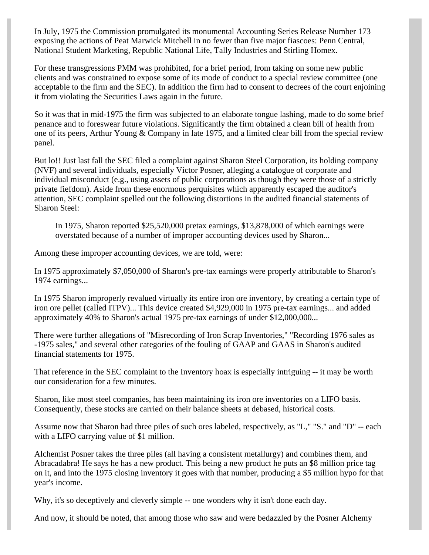In July, 1975 the Commission promulgated its monumental Accounting Series Release Number 173 exposing the actions of Peat Marwick Mitchell in no fewer than five major fiascoes: Penn Central, National Student Marketing, Republic National Life, Tally Industries and Stirling Homex.

For these transgressions PMM was prohibited, for a brief period, from taking on some new public clients and was constrained to expose some of its mode of conduct to a special review committee (one acceptable to the firm and the SEC). In addition the firm had to consent to decrees of the court enjoining it from violating the Securities Laws again in the future.

So it was that in mid-1975 the firm was subjected to an elaborate tongue lashing, made to do some brief penance and to foreswear future violations. Significantly the firm obtained a clean bill of health from one of its peers, Arthur Young & Company in late 1975, and a limited clear bill from the special review panel.

But lo!! Just last fall the SEC filed a complaint against Sharon Steel Corporation, its holding company (NVF) and several individuals, especially Victor Posner, alleging a catalogue of corporate and individual misconduct (e.g., using assets of public corporations as though they were those of a strictly private fiefdom). Aside from these enormous perquisites which apparently escaped the auditor's attention, SEC complaint spelled out the following distortions in the audited financial statements of Sharon Steel:

In 1975, Sharon reported \$25,520,000 pretax earnings, \$13,878,000 of which earnings were overstated because of a number of improper accounting devices used by Sharon...

Among these improper accounting devices, we are told, were:

In 1975 approximately \$7,050,000 of Sharon's pre-tax earnings were properly attributable to Sharon's 1974 earnings...

In 1975 Sharon improperly revalued virtually its entire iron ore inventory, by creating a certain type of iron ore pellet (called ITPV)... This device created \$4,929,000 in 1975 pre-tax earnings... and added approximately 40% to Sharon's actual 1975 pre-tax earnings of under \$12,000,000...

There were further allegations of "Misrecording of Iron Scrap Inventories," "Recording 1976 sales as -1975 sales," and several other categories of the fouling of GAAP and GAAS in Sharon's audited financial statements for 1975.

That reference in the SEC complaint to the Inventory hoax is especially intriguing -- it may be worth our consideration for a few minutes.

Sharon, like most steel companies, has been maintaining its iron ore inventories on a LIFO basis. Consequently, these stocks are carried on their balance sheets at debased, historical costs.

Assume now that Sharon had three piles of such ores labeled, respectively, as "L," "S." and "D" -- each with a LIFO carrying value of \$1 million.

Alchemist Posner takes the three piles (all having a consistent metallurgy) and combines them, and Abracadabra! He says he has a new product. This being a new product he puts an \$8 million price tag on it, and into the 1975 closing inventory it goes with that number, producing a \$5 million hypo for that year's income.

Why, it's so deceptively and cleverly simple -- one wonders why it isn't done each day.

And now, it should be noted, that among those who saw and were bedazzled by the Posner Alchemy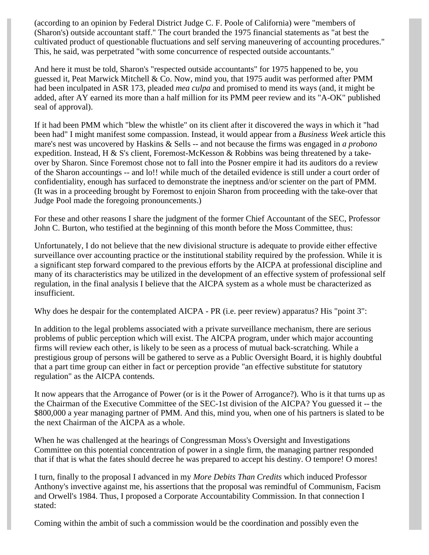(according to an opinion by Federal District Judge C. F. Poole of California) were "members of (Sharon's) outside accountant staff." The court branded the 1975 financial statements as "at best the cultivated product of questionable fluctuations and self serving maneuvering of accounting procedures." This, he said, was perpetrated "with some concurrence of respected outside accountants."

And here it must be told, Sharon's "respected outside accountants" for 1975 happened to be, you guessed it, Peat Marwick Mitchell & Co. Now, mind you, that 1975 audit was performed after PMM had been inculpated in ASR 173, pleaded *mea culpa* and promised to mend its ways (and, it might be added, after AY earned its more than a half million for its PMM peer review and its "A-OK" published seal of approval).

If it had been PMM which "blew the whistle" on its client after it discovered the ways in which it "had been had" I might manifest some compassion. Instead, it would appear from a *Business Week* article this mare's nest was uncovered by Haskins & Sells -- and not because the firms was engaged in *a probono* expedition. Instead, H  $\&$  S's client, Foremost-McKesson  $\&$  Robbins was being threatened by a takeover by Sharon. Since Foremost chose not to fall into the Posner empire it had its auditors do a review of the Sharon accountings -- and lo!! while much of the detailed evidence is still under a court order of confidentiality, enough has surfaced to demonstrate the ineptness and/or scienter on the part of PMM. (It was in a proceeding brought by Foremost to enjoin Sharon from proceeding with the take-over that Judge Pool made the foregoing pronouncements.)

For these and other reasons I share the judgment of the former Chief Accountant of the SEC, Professor John C. Burton, who testified at the beginning of this month before the Moss Committee, thus:

Unfortunately, I do not believe that the new divisional structure is adequate to provide either effective surveillance over accounting practice or the institutional stability required by the profession. While it is a significant step forward compared to the previous efforts by the AICPA at professional discipline and many of its characteristics may be utilized in the development of an effective system of professional self regulation, in the final analysis I believe that the AICPA system as a whole must be characterized as insufficient.

Why does he despair for the contemplated AICPA - PR (i.e. peer review) apparatus? His "point 3":

In addition to the legal problems associated with a private surveillance mechanism, there are serious problems of public perception which will exist. The AICPA program, under which major accounting firms will review each other, is likely to be seen as a process of mutual back-scratching. While a prestigious group of persons will be gathered to serve as a Public Oversight Board, it is highly doubtful that a part time group can either in fact or perception provide "an effective substitute for statutory regulation" as the AICPA contends.

It now appears that the Arrogance of Power (or is it the Power of Arrogance?). Who is it that turns up as the Chairman of the Executive Committee of the SEC-1st division of the AICPA? You guessed it -- the \$800,000 a year managing partner of PMM. And this, mind you, when one of his partners is slated to be the next Chairman of the AICPA as a whole.

When he was challenged at the hearings of Congressman Moss's Oversight and Investigations Committee on this potential concentration of power in a single firm, the managing partner responded that if that is what the fates should decree he was prepared to accept his destiny. O tempore! O mores!

I turn, finally to the proposal I advanced in my *More Debits Than Credits* which induced Professor Anthony's invective against me, his assertions that the proposal was remindful of Communism, Facism and Orwell's 1984. Thus, I proposed a Corporate Accountability Commission. In that connection I stated:

Coming within the ambit of such a commission would be the coordination and possibly even the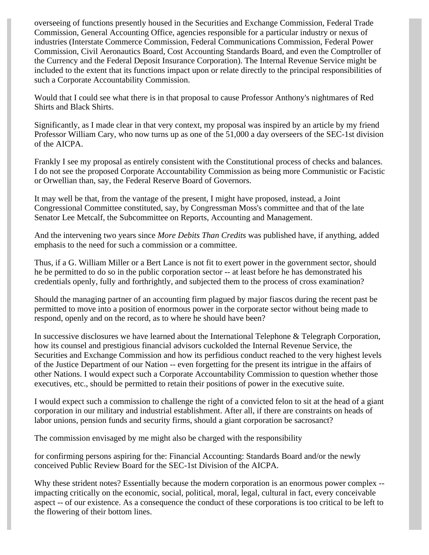overseeing of functions presently housed in the Securities and Exchange Commission, Federal Trade Commission, General Accounting Office, agencies responsible for a particular industry or nexus of industries (Interstate Commerce Commission, Federal Communications Commission, Federal Power Commission, Civil Aeronautics Board, Cost Accounting Standards Board, and even the Comptroller of the Currency and the Federal Deposit Insurance Corporation). The Internal Revenue Service might be included to the extent that its functions impact upon or relate directly to the principal responsibilities of such a Corporate Accountability Commission.

Would that I could see what there is in that proposal to cause Professor Anthony's nightmares of Red Shirts and Black Shirts.

Significantly, as I made clear in that very context, my proposal was inspired by an article by my friend Professor William Cary, who now turns up as one of the 51,000 a day overseers of the SEC-1st division of the AICPA.

Frankly I see my proposal as entirely consistent with the Constitutional process of checks and balances. I do not see the proposed Corporate Accountability Commission as being more Communistic or Facistic or Orwellian than, say, the Federal Reserve Board of Governors.

It may well be that, from the vantage of the present, I might have proposed, instead, a Joint Congressional Committee constituted, say, by Congressman Moss's committee and that of the late Senator Lee Metcalf, the Subcommittee on Reports, Accounting and Management.

And the intervening two years since *More Debits Than Credits* was published have, if anything, added emphasis to the need for such a commission or a committee.

Thus, if a G. William Miller or a Bert Lance is not fit to exert power in the government sector, should he be permitted to do so in the public corporation sector -- at least before he has demonstrated his credentials openly, fully and forthrightly, and subjected them to the process of cross examination?

Should the managing partner of an accounting firm plagued by major fiascos during the recent past be permitted to move into a position of enormous power in the corporate sector without being made to respond, openly and on the record, as to where he should have been?

In successive disclosures we have learned about the International Telephone & Telegraph Corporation, how its counsel and prestigious financial advisors cuckolded the Internal Revenue Service, the Securities and Exchange Commission and how its perfidious conduct reached to the very highest levels of the Justice Department of our Nation -- even forgetting for the present its intrigue in the affairs of other Nations. I would expect such a Corporate Accountability Commission to question whether those executives, etc., should be permitted to retain their positions of power in the executive suite.

I would expect such a commission to challenge the right of a convicted felon to sit at the head of a giant corporation in our military and industrial establishment. After all, if there are constraints on heads of labor unions, pension funds and security firms, should a giant corporation be sacrosanct?

The commission envisaged by me might also be charged with the responsibility

for confirming persons aspiring for the: Financial Accounting: Standards Board and/or the newly conceived Public Review Board for the SEC-1st Division of the AICPA.

Why these strident notes? Essentially because the modern corporation is an enormous power complex -impacting critically on the economic, social, political, moral, legal, cultural in fact, every conceivable aspect -- of our existence. As a consequence the conduct of these corporations is too critical to be left to the flowering of their bottom lines.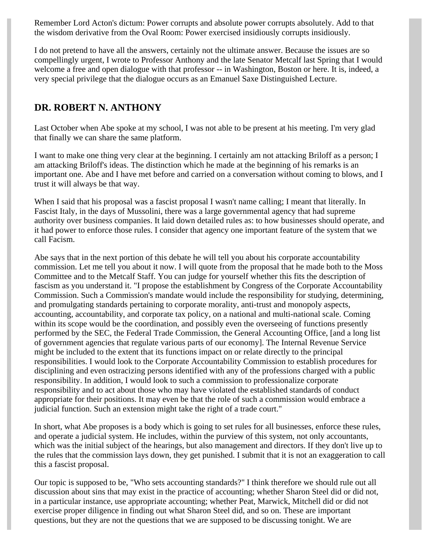Remember Lord Acton's dictum: Power corrupts and absolute power corrupts absolutely. Add to that the wisdom derivative from the Oval Room: Power exercised insidiously corrupts insidiously.

I do not pretend to have all the answers, certainly not the ultimate answer. Because the issues are so compellingly urgent, I wrote to Professor Anthony and the late Senator Metcalf last Spring that I would welcome a free and open dialogue with that professor -- in Washington, Boston or here. It is, indeed, a very special privilege that the dialogue occurs as an Emanuel Saxe Distinguished Lecture.

## **DR. ROBERT N. ANTHONY**

Last October when Abe spoke at my school, I was not able to be present at his meeting. I'm very glad that finally we can share the same platform.

I want to make one thing very clear at the beginning. I certainly am not attacking Briloff as a person; I am attacking Briloff's ideas. The distinction which he made at the beginning of his remarks is an important one. Abe and I have met before and carried on a conversation without coming to blows, and I trust it will always be that way.

When I said that his proposal was a fascist proposal I wasn't name calling; I meant that literally. In Fascist Italy, in the days of Mussolini, there was a large governmental agency that had supreme authority over business companies. It laid down detailed rules as: to how businesses should operate, and it had power to enforce those rules. I consider that agency one important feature of the system that we call Facism.

Abe says that in the next portion of this debate he will tell you about his corporate accountability commission. Let me tell you about it now. I will quote from the proposal that he made both to the Moss Committee and to the Metcalf Staff. You can judge for yourself whether this fits the description of fascism as you understand it. "I propose the establishment by Congress of the Corporate Accountability Commission. Such a Commission's mandate would include the responsibility for studying, determining, and promulgating standards pertaining to corporate morality, anti-trust and monopoly aspects, accounting, accountability, and corporate tax policy, on a national and multi-national scale. Coming within its scope would be the coordination, and possibly even the overseeing of functions presently performed by the SEC, the Federal Trade Commission, the General Accounting Office, [and a long list of government agencies that regulate various parts of our economy]. The Internal Revenue Service might be included to the extent that its functions impact on or relate directly to the principal responsibilities. I would look to the Corporate Accountability Commission to establish procedures for disciplining and even ostracizing persons identified with any of the professions charged with a public responsibility. In addition, I would look to such a commission to professionalize corporate responsibility and to act about those who may have violated the established standards of conduct appropriate for their positions. It may even be that the role of such a commission would embrace a judicial function. Such an extension might take the right of a trade court."

In short, what Abe proposes is a body which is going to set rules for all businesses, enforce these rules, and operate a judicial system. He includes, within the purview of this system, not only accountants, which was the initial subject of the hearings, but also management and directors. If they don't live up to the rules that the commission lays down, they get punished. I submit that it is not an exaggeration to call this a fascist proposal.

Our topic is supposed to be, "Who sets accounting standards?" I think therefore we should rule out all discussion about sins that may exist in the practice of accounting; whether Sharon Steel did or did not, in a particular instance, use appropriate accounting; whether Peat, Marwick, Mitchell did or did not exercise proper diligence in finding out what Sharon Steel did, and so on. These are important questions, but they are not the questions that we are supposed to be discussing tonight. We are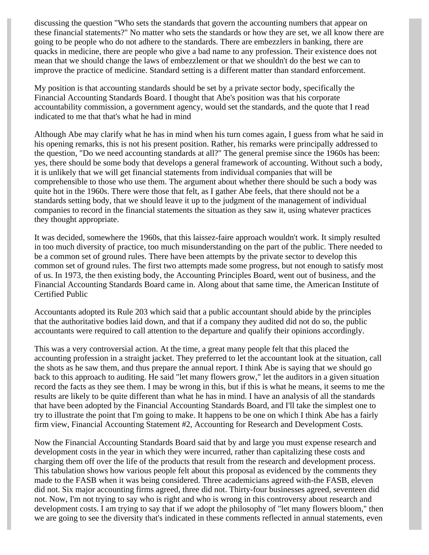discussing the question "Who sets the standards that govern the accounting numbers that appear on these financial statements?" No matter who sets the standards or how they are set, we all know there are going to be people who do not adhere to the standards. There are embezzlers in banking, there are quacks in medicine, there are people who give a bad name to any profession. Their existence does not mean that we should change the laws of embezzlement or that we shouldn't do the best we can to improve the practice of medicine. Standard setting is a different matter than standard enforcement.

My position is that accounting standards should be set by a private sector body, specifically the Financial Accounting Standards Board. I thought that Abe's position was that his corporate accountability commission, a government agency, would set the standards, and the quote that I read indicated to me that that's what he had in mind

Although Abe may clarify what he has in mind when his turn comes again, I guess from what he said in his opening remarks, this is not his present position. Rather, his remarks were principally addressed to the question, "Do we need accounting standards at all?" The general premise since the 1960s has been: yes, there should be some body that develops a general framework of accounting. Without such a body, it is unlikely that we will get financial statements from individual companies that will be comprehensible to those who use them. The argument about whether there should be such a body was quite hot in the 1960s. There were those that felt, as I gather Abe feels, that there should not be a standards setting body, that we should leave it up to the judgment of the management of individual companies to record in the financial statements the situation as they saw it, using whatever practices they thought appropriate.

It was decided, somewhere the 1960s, that this laissez-faire approach wouldn't work. It simply resulted in too much diversity of practice, too much misunderstanding on the part of the public. There needed to be a common set of ground rules. There have been attempts by the private sector to develop this common set of ground rules. The first two attempts made some progress, but not enough to satisfy most of us. In 1973, the then existing body, the Accounting Principles Board, went out of business, and the Financial Accounting Standards Board came in. Along about that same time, the American Institute of Certified Public

Accountants adopted its Rule 203 which said that a public accountant should abide by the principles that the authoritative bodies laid down, and that if a company they audited did not do so, the public accountants were required to call attention to the departure and qualify their opinions accordingly.

This was a very controversial action. At the time, a great many people felt that this placed the accounting profession in a straight jacket. They preferred to let the accountant look at the situation, call the shots as he saw them, and thus prepare the annual report. I think Abe is saying that we should go back to this approach to auditing. He said "let many flowers grow," let the auditors in a given situation record the facts as they see them. I may be wrong in this, but if this is what he means, it seems to me the results are likely to be quite different than what he has in mind. I have an analysis of all the standards that have been adopted by the Financial Accounting Standards Board, and I'll take the simplest one to try to illustrate the point that I'm going to make. It happens to be one on which I think Abe has a fairly firm view, Financial Accounting Statement #2, Accounting for Research and Development Costs.

Now the Financial Accounting Standards Board said that by and large you must expense research and development costs in the year in which they were incurred, rather than capitalizing these costs and charging them off over the life of the products that result from the research and development process. This tabulation shows how various people felt about this proposal as evidenced by the comments they made to the FASB when it was being considered. Three academicians agreed with-the FASB, eleven did not. Six major accounting firms agreed, three did not. Thirty-four businesses agreed, seventeen did not. Now, I'm not trying to say who is right and who is wrong in this controversy about research and development costs. I am trying to say that if we adopt the philosophy of "let many flowers bloom," then we are going to see the diversity that's indicated in these comments reflected in annual statements, even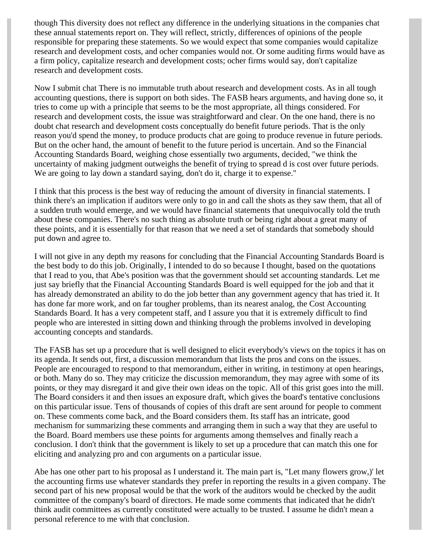though This diversity does not reflect any difference in the underlying situations in the companies chat these annual statements report on. They will reflect, strictly, differences of opinions of the people responsible for preparing these statements. So we would expect that some companies would capitalize research and development costs, and ocher companies would not. Or some auditing firms would have as a firm policy, capitalize research and development costs; ocher firms would say, don't capitalize research and development costs.

Now I submit chat There is no immutable truth about research and development costs. As in all tough accounting questions, there is support on both sides. The FASB hears arguments, and having done so, it tries to come up with a principle that seems to be the most appropriate, all things considered. For research and development costs, the issue was straightforward and clear. On the one hand, there is no doubt chat research and development costs conceptually do benefit future periods. That is the only reason you'd spend the money, to produce products chat are going to produce revenue in future periods. But on the ocher hand, the amount of benefit to the future period is uncertain. And so the Financial Accounting Standards Board, weighing chose essentially two arguments, decided, "we think the uncertainty of making judgment outweighs the benefit of trying to spread d is cost over future periods. We are going to lay down a standard saying, don't do it, charge it to expense."

I think that this process is the best way of reducing the amount of diversity in financial statements. I think there's an implication if auditors were only to go in and call the shots as they saw them, that all of a sudden truth would emerge, and we would have financial statements that unequivocally told the truth about these companies. There's no such thing as absolute truth or being right about a great many of these points, and it is essentially for that reason that we need a set of standards that somebody should put down and agree to.

I will not give in any depth my reasons for concluding that the Financial Accounting Standards Board is the best body to do this job. Originally, I intended to do so because I thought, based on the quotations that I read to you, that Abe's position was that the government should set accounting standards. Let me just say briefly that the Financial Accounting Standards Board is well equipped for the job and that it has already demonstrated an ability to do the job better than any government agency that has tried it. It has done far more work, and on far tougher problems, than its nearest analog, the Cost Accounting Standards Board. It has a very competent staff, and I assure you that it is extremely difficult to find people who are interested in sitting down and thinking through the problems involved in developing accounting concepts and standards.

The FASB has set up a procedure that is well designed to elicit everybody's views on the topics it has on its agenda. It sends out, first, a discussion memorandum that lists the pros and cons on the issues. People are encouraged to respond to that memorandum, either in writing, in testimony at open hearings, or both. Many do so. They may criticize the discussion memorandum, they may agree with some of its points, or they may disregard it and give their own ideas on the topic. All of this grist goes into the mill. The Board considers it and then issues an exposure draft, which gives the board's tentative conclusions on this particular issue. Tens of thousands of copies of this draft are sent around for people to comment on. These comments come back, and the Board considers them. Its staff has an intricate, good mechanism for summarizing these comments and arranging them in such a way that they are useful to the Board. Board members use these points for arguments among themselves and finally reach a conclusion. I don't think that the government is likely to set up a procedure that can match this one for eliciting and analyzing pro and con arguments on a particular issue.

Abe has one other part to his proposal as I understand it. The main part is, "Let many flowers grow,)' let the accounting firms use whatever standards they prefer in reporting the results in a given company. The second part of his new proposal would be that the work of the auditors would be checked by the audit committee of the company's board of directors. He made some comments that indicated that he didn't think audit committees as currently constituted were actually to be trusted. I assume he didn't mean a personal reference to me with that conclusion.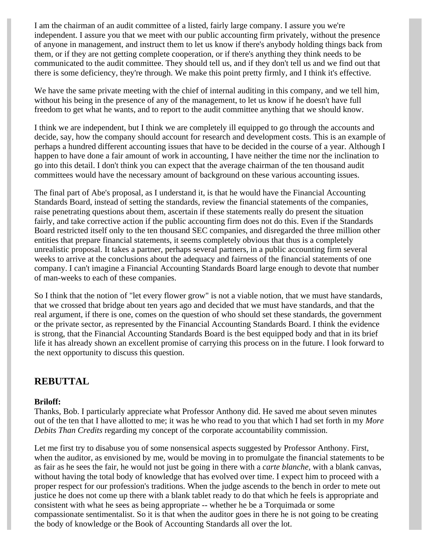I am the chairman of an audit committee of a listed, fairly large company. I assure you we're independent. I assure you that we meet with our public accounting firm privately, without the presence of anyone in management, and instruct them to let us know if there's anybody holding things back from them, or if they are not getting complete cooperation, or if there's anything they think needs to be communicated to the audit committee. They should tell us, and if they don't tell us and we find out that there is some deficiency, they're through. We make this point pretty firmly, and I think it's effective.

We have the same private meeting with the chief of internal auditing in this company, and we tell him, without his being in the presence of any of the management, to let us know if he doesn't have full freedom to get what he wants, and to report to the audit committee anything that we should know.

I think we are independent, but I think we are completely ill equipped to go through the accounts and decide, say, how the company should account for research and development costs. This is an example of perhaps a hundred different accounting issues that have to be decided in the course of a year. Although I happen to have done a fair amount of work in accounting, I have neither the time nor the inclination to go into this detail. I don't think you can expect that the average chairman of the ten thousand audit committees would have the necessary amount of background on these various accounting issues.

The final part of Abe's proposal, as I understand it, is that he would have the Financial Accounting Standards Board, instead of setting the standards, review the financial statements of the companies, raise penetrating questions about them, ascertain if these statements really do present the situation fairly, and take corrective action if the public accounting firm does not do this. Even if the Standards Board restricted itself only to the ten thousand SEC companies, and disregarded the three million other entities that prepare financial statements, it seems completely obvious that thus is a completely unrealistic proposal. It takes a partner, perhaps several partners, in a public accounting firm several weeks to arrive at the conclusions about the adequacy and fairness of the financial statements of one company. I can't imagine a Financial Accounting Standards Board large enough to devote that number of man-weeks to each of these companies.

So I think that the notion of "let every flower grow" is not a viable notion, that we must have standards, that we crossed that bridge about ten years ago and decided that we must have standards, and that the real argument, if there is one, comes on the question of who should set these standards, the government or the private sector, as represented by the Financial Accounting Standards Board. I think the evidence is strong, that the Financial Accounting Standards Board is the best equipped body and that in its brief life it has already shown an excellent promise of carrying this process on in the future. I look forward to the next opportunity to discuss this question.

### **REBUTTAL**

#### **Briloff:**

Thanks, Bob. I particularly appreciate what Professor Anthony did. He saved me about seven minutes out of the ten that I have allotted to me; it was he who read to you that which I had set forth in my *More Debits Than Credits* regarding my concept of the corporate accountability commission.

Let me first try to disabuse you of some nonsensical aspects suggested by Professor Anthony. First, when the auditor, as envisioned by me, would be moving in to promulgate the financial statements to be as fair as he sees the fair, he would not just be going in there with a *carte blanche,* with a blank canvas, without having the total body of knowledge that has evolved over time. I expect him to proceed with a proper respect for our profession's traditions. When the judge ascends to the bench in order to mete out justice he does not come up there with a blank tablet ready to do that which he feels is appropriate and consistent with what he sees as being appropriate -- whether he be a Torquimada or some compassionate sentimentalist. So it is that when the auditor goes in there he is not going to be creating the body of knowledge or the Book of Accounting Standards all over the lot.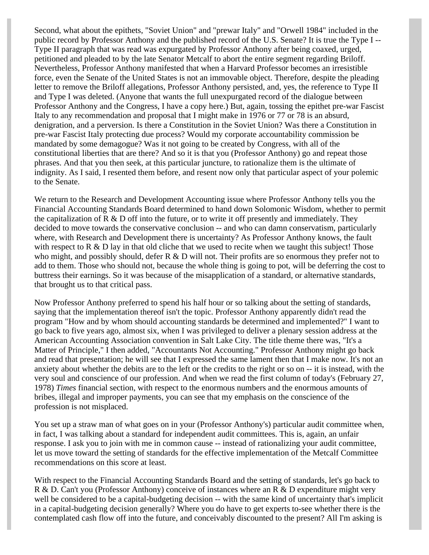Second, what about the epithets, "Soviet Union" and "prewar Italy" and "Orwell 1984" included in the public record by Professor Anthony and the published record of the U.S. Senate? It is true the Type I -- Type II paragraph that was read was expurgated by Professor Anthony after being coaxed, urged, petitioned and pleaded to by the late Senator Metcalf to abort the entire segment regarding Briloff. Nevertheless, Professor Anthony manifested that when a Harvard Professor becomes an irresistible force, even the Senate of the United States is not an immovable object. Therefore, despite the pleading letter to remove the Briloff allegations, Professor Anthony persisted, and, yes, the reference to Type II and Type I was deleted. (Anyone that wants the full unexpurgated record of the dialogue between Professor Anthony and the Congress, I have a copy here.) But, again, tossing the epithet pre-war Fascist Italy to any recommendation and proposal that I might make in 1976 or 77 or 78 is an absurd, denigration, and a perversion. Is there a Constitution in the Soviet Union? Was there a Constitution in pre-war Fascist Italy protecting due process? Would my corporate accountability commission be mandated by some demagogue? Was it not going to be created by Congress, with all of the constitutional liberties that are there? And so it is that you (Professor Anthony) go and repeat those phrases. And that you then seek, at this particular juncture, to rationalize them is the ultimate of indignity. As I said, I resented them before, and resent now only that particular aspect of your polemic to the Senate.

We return to the Research and Development Accounting issue where Professor Anthony tells you the Financial Accounting Standards Board determined to hand down Solomonic Wisdom, whether to permit the capitalization of  $R \& D$  off into the future, or to write it off presently and immediately. They decided to move towards the conservative conclusion -- and who can damn conservatism, particularly where, with Research and Development there is uncertainty? As Professor Anthony knows, the fault with respect to R  $\&$  D lay in that old cliche that we used to recite when we taught this subject! Those who might, and possibly should, defer  $R \& D$  will not. Their profits are so enormous they prefer not to add to them. Those who should not, because the whole thing is going to pot, will be deferring the cost to buttress their earnings. So it was because of the misapplication of a standard, or alternative standards, that brought us to that critical pass.

Now Professor Anthony preferred to spend his half hour or so talking about the setting of standards, saying that the implementation thereof isn't the topic. Professor Anthony apparently didn't read the program "How and by whom should accounting standards be determined and implemented?" I want to go back to five years ago, almost six, when I was privileged to deliver a plenary session address at the American Accounting Association convention in Salt Lake City. The title theme there was, "It's a Matter of Principle," I then added, "Accountants Not Accounting." Professor Anthony might go back and read that presentation; he will see that I expressed the same lament then that I make now. It's not an anxiety about whether the debits are to the left or the credits to the right or so on -- it is instead, with the very soul and conscience of our profession. And when we read the first column of today's (February 27, 1978) *Times* financial section, with respect to the enormous numbers and the enormous amounts of bribes, illegal and improper payments, you can see that my emphasis on the conscience of the profession is not misplaced.

You set up a straw man of what goes on in your (Professor Anthony's) particular audit committee when, in fact, I was talking about a standard for independent audit committees. This is, again, an unfair response. I ask you to join with me in common cause -- instead of rationalizing your audit committee, let us move toward the setting of standards for the effective implementation of the Metcalf Committee recommendations on this score at least.

With respect to the Financial Accounting Standards Board and the setting of standards, let's go back to R & D. Can't you (Professor Anthony) conceive of instances where an R & D expenditure might very well be considered to be a capital-budgeting decision -- with the same kind of uncertainty that's implicit in a capital-budgeting decision generally? Where you do have to get experts to-see whether there is the contemplated cash flow off into the future, and conceivably discounted to the present? All I'm asking is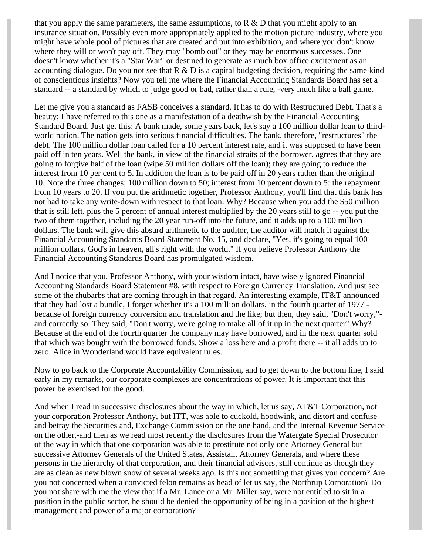that you apply the same parameters, the same assumptions, to  $R \& D$  that you might apply to an insurance situation. Possibly even more appropriately applied to the motion picture industry, where you might have whole pool of pictures that are created and put into exhibition, and where you don't know where they will or won't pay off. They may "bomb out" or they may be enormous successes. One doesn't know whether it's a "Star War" or destined to generate as much box office excitement as an accounting dialogue. Do you not see that  $R \& D$  is a capital budgeting decision, requiring the same kind of conscientious insights? Now you tell me where the Financial Accounting Standards Board has set a standard -- a standard by which to judge good or bad, rather than a rule, -very much like a ball game.

Let me give you a standard as FASB conceives a standard. It has to do with Restructured Debt. That's a beauty; I have referred to this one as a manifestation of a deathwish by the Financial Accounting Standard Board. Just get this: A bank made, some years back, let's say a 100 million dollar loan to thirdworld nation. The nation gets into serious financial difficulties. The bank, therefore, "restructures" the debt. The 100 million dollar loan called for a 10 percent interest rate, and it was supposed to have been paid off in ten years. Well the bank, in view of the financial straits of the borrower, agrees that they are going to forgive half of the loan (wipe 50 million dollars off the loan); they are going to reduce the interest from 10 per cent to 5. In addition the loan is to be paid off in 20 years rather than the original 10. Note the three changes; 100 million down to 50; interest from 10 percent down to 5: the repayment from 10 years to 20. If you put the arithmetic together, Professor Anthony, you'll find that this bank has not had to take any write-down with respect to that loan. Why? Because when you add the \$50 million that is still left, plus the 5 percent of annual interest multiplied by the 20 years still to go -- you put the two of them together, including the 20 year run-off into the future, and it adds up to a 100 million dollars. The bank will give this absurd arithmetic to the auditor, the auditor will match it against the Financial Accounting Standards Board Statement No. 15, and declare, "Yes, it's going to equal 100 million dollars. God's in heaven, all's right with the world." If you believe Professor Anthony the Financial Accounting Standards Board has promulgated wisdom.

And I notice that you, Professor Anthony, with your wisdom intact, have wisely ignored Financial Accounting Standards Board Statement #8, with respect to Foreign Currency Translation. And just see some of the rhubarbs that are coming through in that regard. An interesting example, IT&T announced that they had lost a bundle, I forget whether it's a 100 million dollars, in the fourth quarter of 1977 because of foreign currency conversion and translation and the like; but then, they said, ''Don't worry," and correctly so. They said, "Don't worry, we're going to make all of it up in the next quarter" Why? Because at the end of the fourth quarter the company may have borrowed, and in the next quarter sold that which was bought with the borrowed funds. Show a loss here and a profit there -- it all adds up to zero. Alice in Wonderland would have equivalent rules.

Now to go back to the Corporate Accountability Commission, and to get down to the bottom line, I said early in my remarks, our corporate complexes are concentrations of power. It is important that this power be exercised for the good.

And when I read in successive disclosures about the way in which, let us say, AT&T Corporation, not your corporation Professor Anthony, but ITT, was able to cuckold, hoodwink, and distort and confuse and betray the Securities and, Exchange Commission on the one hand, and the Internal Revenue Service on the other,-and then as we read most recently the disclosures from the Watergate Special Prosecutor of the way in which that one corporation was able to prostitute not only one Attorney General but successive Attorney Generals of the United States, Assistant Attorney Generals, and where these persons in the hierarchy of that corporation, and their financial advisors, still continue as though they are as clean as new blown snow of several weeks ago. Is this not something that gives you concern? Are you not concerned when a convicted felon remains as head of let us say, the Northrup Corporation? Do you not share with me the view that if a Mr. Lance or a Mr. Miller say, were not entitled to sit in a position in the public sector, he should be denied the opportunity of being in a position of the highest management and power of a major corporation?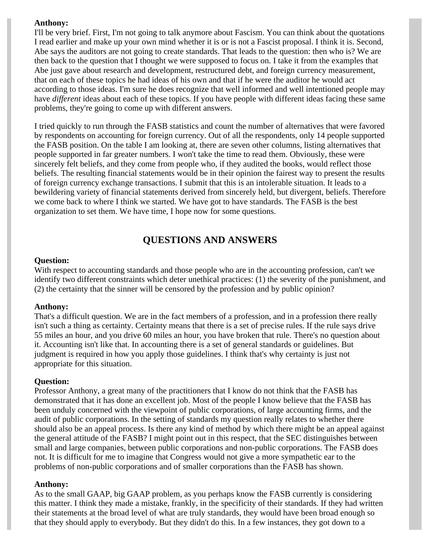#### **Anthony:**

I'll be very brief. First, I'm not going to talk anymore about Fascism. You can think about the quotations I read earlier and make up your own mind whether it is or is not a Fascist proposal. I think it is. Second, Abe says the auditors are not going to create standards. That leads to the question: then who is? We are then back to the question that I thought we were supposed to focus on. I take it from the examples that Abe just gave about research and development, restructured debt, and foreign currency measurement, that on each of these topics he had ideas of his own and that if he were the auditor he would act according to those ideas. I'm sure he does recognize that well informed and well intentioned people may have *different* ideas about each of these topics. If you have people with different ideas facing these same problems, they're going to come up with different answers.

I tried quickly to run through the FASB statistics and count the number of alternatives that were favored by respondents on accounting for foreign currency. Out of all the respondents, only 14 people supported the FASB position. On the table I am looking at, there are seven other columns, listing alternatives that people supported in far greater numbers. I won't take the time to read them. Obviously, these were sincerely felt beliefs, and they come from people who, if they audited the books, would reflect those beliefs. The resulting financial statements would be in their opinion the fairest way to present the results of foreign currency exchange transactions. I submit that this is an intolerable situation. It leads to a bewildering variety of financial statements derived from sincerely held, but divergent, beliefs. Therefore we come back to where I think we started. We have got to have standards. The FASB is the best organization to set them. We have time, I hope now for some questions.

## **QUESTIONS AND ANSWERS**

#### **Question:**

With respect to accounting standards and those people who are in the accounting profession, can't we identify two different constraints which deter unethical practices: (1) the severity of the punishment, and (2) the certainty that the sinner will be censored by the profession and by public opinion?

#### **Anthony:**

That's a difficult question. We are in the fact members of a profession, and in a profession there really isn't such a thing as certainty. Certainty means that there is a set of precise rules. If the rule says drive 55 miles an hour, and you drive 60 miles an hour, you have broken that rule. There's no question about it. Accounting isn't like that. In accounting there is a set of general standards or guidelines. But judgment is required in how you apply those guidelines. I think that's why certainty is just not appropriate for this situation.

#### **Question:**

Professor Anthony, a great many of the practitioners that I know do not think that the FASB has demonstrated that it has done an excellent job. Most of the people I know believe that the FASB has been unduly concerned with the viewpoint of public corporations, of large accounting firms, and the audit of public corporations. In the setting of standards my question really relates to whether there should also be an appeal process. Is there any kind of method by which there might be an appeal against the general attitude of the FASB? I might point out in this respect, that the SEC distinguishes between small and large companies, between public corporations and non-public corporations. The FASB does not. It is difficult for me to imagine that Congress would not give a more sympathetic ear to the problems of non-public corporations and of smaller corporations than the FASB has shown.

#### **Anthony:**

As to the small GAAP, big GAAP problem, as you perhaps know the FASB currently is considering this matter. I think they made a mistake, frankly, in the specificity of their standards. If they had written their statements at the broad level of what are truly standards, they would have been broad enough so that they should apply to everybody. But they didn't do this. In a few instances, they got down to a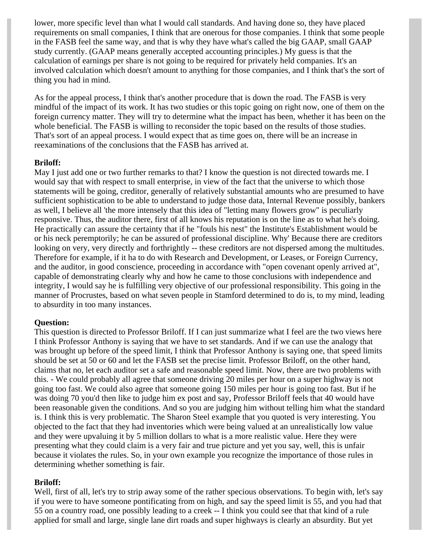lower, more specific level than what I would call standards. And having done so, they have placed requirements on small companies, I think that are onerous for those companies. I think that some people in the FASB feel the same way, and that is why they have what's called the big GAAP, small GAAP study currently. (GAAP means generally accepted accounting principles.) My guess is that the calculation of earnings per share is not going to be required for privately held companies. It's an involved calculation which doesn't amount to anything for those companies, and I think that's the sort of thing you had in mind.

As for the appeal process, I think that's another procedure that is down the road. The FASB is very mindful of the impact of its work. It has two studies or this topic going on right now, one of them on the foreign currency matter. They will try to determine what the impact has been, whether it has been on the whole beneficial. The FASB is willing to reconsider the topic based on the results of those studies. That's sort of an appeal process. I would expect that as time goes on, there will be an increase in reexaminations of the conclusions that the FASB has arrived at.

#### **Briloff:**

May I just add one or two further remarks to that? I know the question is not directed towards me. I would say that with respect to small enterprise, in view of the fact that the universe to which those statements will be going, creditor, generally of relatively substantial amounts who are presumed to have sufficient sophistication to be able to understand to judge those data, Internal Revenue possibly, bankers as well, I believe all 'the more intensely that this idea of "letting many flowers grow" is peculiarly responsive. Thus, the auditor there, first of all knows his reputation is on the line as to what he's doing. He practically can assure the certainty that if he "fouls his nest" the Institute's Establishment would be or his neck peremptorily; he can be assured of professional discipline. Why' Because there are creditors looking on very, very directly and forthrightly -- these creditors are not dispersed among the multitudes. Therefore for example, if it ha to do with Research and Development, or Leases, or Foreign Currency, and the auditor, in good conscience, proceeding in accordance with "open covenant openly arrived at", capable of demonstrating clearly why and how he came to those conclusions with independence and integrity, I would say he is fulfilling very objective of our professional responsibility. This going in the manner of Procrustes, based on what seven people in Stamford determined to do is, to my mind, leading to absurdity in too many instances.

#### **Question:**

This question is directed to Professor Briloff. If I can just summarize what I feel are the two views here I think Professor Anthony is saying that we have to set standards. And if we can use the analogy that was brought up before of the speed limit, I think that Professor Anthony is saying one, that speed limits should be set at 50 or 60 and let the FASB set the precise limit. Professor Briloff, on the other hand, claims that no, let each auditor set a safe and reasonable speed limit. Now, there are two problems with this. - We could probably all agree that someone driving 20 miles per hour on a super highway is not going too fast. We could also agree that someone going 150 miles per hour is going too fast. But if he was doing 70 you'd then like to judge him ex post and say, Professor Briloff feels that 40 would have been reasonable given the conditions. And so you are judging him without telling him what the standard is. I think this is very problematic. The Sharon Steel example that you quoted is very interesting. You objected to the fact that they had inventories which were being valued at an unrealistically low value and they were upvaluing it by 5 million dollars to what is a more realistic value. Here they were presenting what they could claim is a very fair and true picture and yet you say, well, this is unfair because it violates the rules. So, in your own example you recognize the importance of those rules in determining whether something is fair.

#### **Briloff:**

Well, first of all, let's try to strip away some of the rather specious observations. To begin with, let's say if you were to have someone pontificating from on high, and say the speed limit is 55, and you had that 55 on a country road, one possibly leading to a creek -- I think you could see that that kind of a rule applied for small and large, single lane dirt roads and super highways is clearly an absurdity. But yet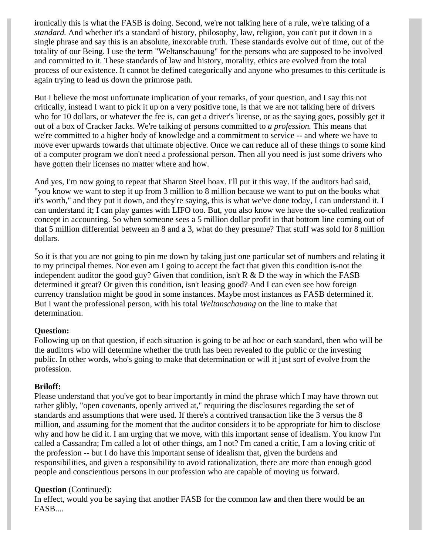ironically this is what the FASB is doing. Second, we're not talking here of a rule, we're talking of a *standard.* And whether it's a standard of history, philosophy, law, religion, you can't put it down in a single phrase and say this is an absolute, inexorable truth. These standards evolve out of time, out of the totality of our Being. I use the term "Weltanschauung" for the persons who are supposed to be involved and committed to it. These standards of law and history, morality, ethics are evolved from the total process of our existence. It cannot be defined categorically and anyone who presumes to this certitude is again trying to lead us down the primrose path.

But I believe the most unfortunate implication of your remarks, of your question, and I say this not critically, instead I want to pick it up on a very positive tone, is that we are not talking here of drivers who for 10 dollars, or whatever the fee is, can get a driver's license, or as the saying goes, possibly get it out of a box of Cracker Jacks. We're talking of persons committed to *a profession.* This means that we're committed to a higher body of knowledge and a commitment to service -- and where we have to move ever upwards towards that ultimate objective. Once we can reduce all of these things to some kind of a computer program we don't need a professional person. Then all you need is just some drivers who have gotten their licenses no matter where and how.

And yes, I'm now going to repeat that Sharon Steel hoax. I'll put it this way. If the auditors had said, "you know we want to step it up from 3 million to 8 million because we want to put on the books what it's worth," and they put it down, and they're saying, this is what we've done today, I can understand it. I can understand it; I can play games with LIFO too. But, you also know we have the so-called realization concept in accounting. So when someone sees a 5 million dollar profit in that bottom line coming out of that 5 million differential between an 8 and a 3, what do they presume? That stuff was sold for 8 million dollars.

So it is that you are not going to pin me down by taking just one particular set of numbers and relating it to my principal themes. Nor even am I going to accept the fact that given this condition is-not the independent auditor the good guy? Given that condition, isn't R  $\&$  D the way in which the FASB determined it great? Or given this condition, isn't leasing good? And I can even see how foreign currency translation might be good in some instances. Maybe most instances as FASB determined it. But I want the professional person, with his total *Weltanschauang* on the line to make that determination.

#### **Question:**

Following up on that question, if each situation is going to be ad hoc or each standard, then who will be the auditors who will determine whether the truth has been revealed to the public or the investing public. In other words, who's going to make that determination or will it just sort of evolve from the profession.

#### **Briloff:**

Please understand that you've got to bear importantly in mind the phrase which I may have thrown out rather glibly, "open covenants, openly arrived at," requiring the disclosures regarding the set of standards and assumptions that were used. If there's a contrived transaction like the 3 versus the 8 million, and assuming for the moment that the auditor considers it to be appropriate for him to disclose why and how he did it. I am urging that we move, with this important sense of idealism. You know I'm called a Cassandra; I'm called a lot of other things, am I not? I'm caned a critic, I am a loving critic of the profession -- but I do have this important sense of idealism that, given the burdens and responsibilities, and given a responsibility to avoid rationalization, there are more than enough good people and conscientious persons in our profession who are capable of moving us forward.

#### **Question** (Continued):

In effect, would you be saying that another FASB for the common law and then there would be an FASB....